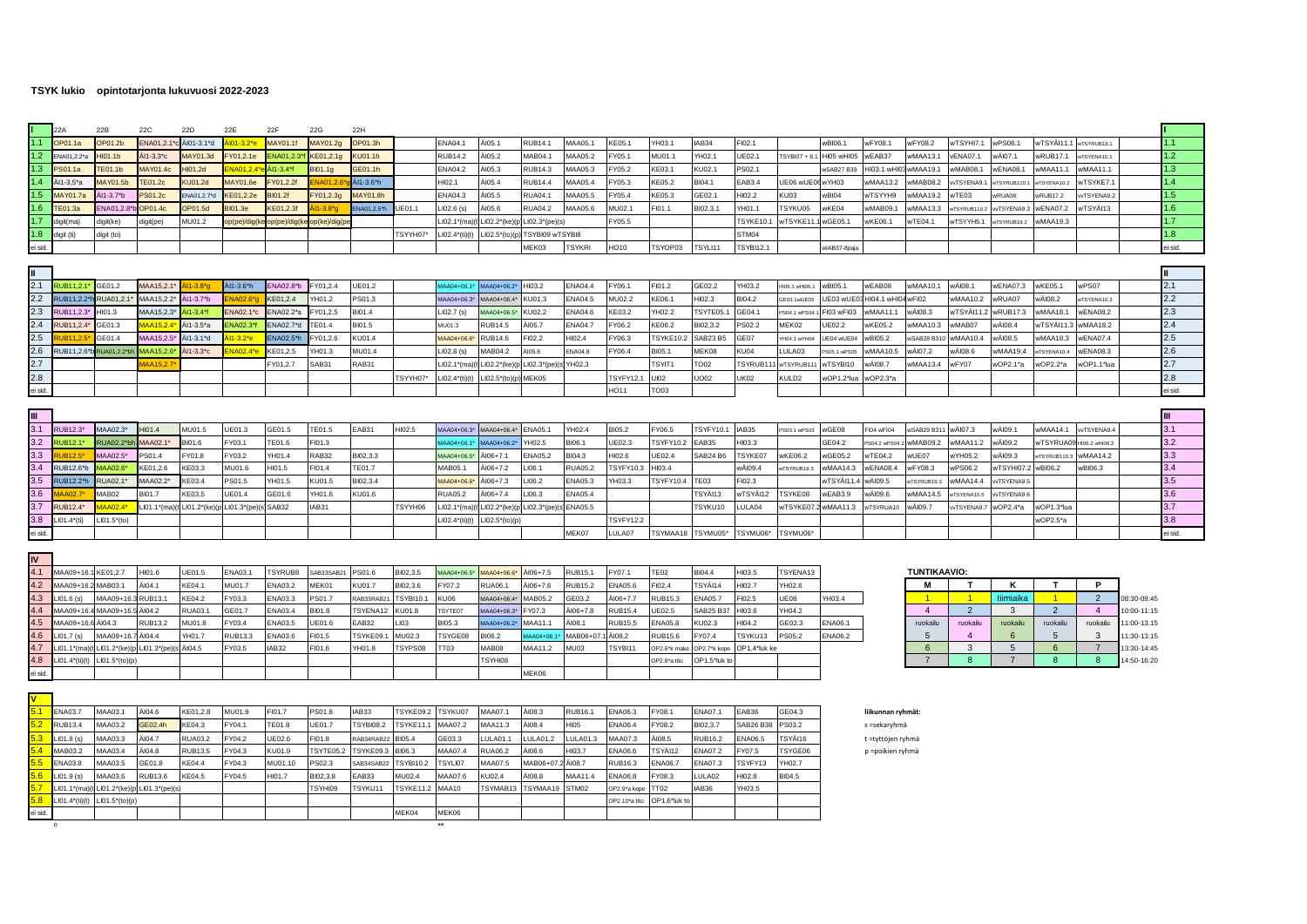## TSYK lukio opintotarjonta lukuvuosi 2022-2023

ei sid.

|                | 22A                 | 22B                         | 22C                      | 22D                                      | 22E                      | 22F                | 22G              | 22H               |                 |                   |                            |                      |                   |                          |                           |                  |                      |                   |                    |               |                         |                            |               |                 |                          |                           |                  |
|----------------|---------------------|-----------------------------|--------------------------|------------------------------------------|--------------------------|--------------------|------------------|-------------------|-----------------|-------------------|----------------------------|----------------------|-------------------|--------------------------|---------------------------|------------------|----------------------|-------------------|--------------------|---------------|-------------------------|----------------------------|---------------|-----------------|--------------------------|---------------------------|------------------|
| 1.1            | OP01.1a             | OP01.2b                     | ENA01,2.1*c Al01-3.1*d   |                                          | Äl01-3.2*e               | MAY01.1f           | MAY01.2g         | OP01.3h           |                 | <b>ENA04.1</b>    | ÄI05.1                     | RUB14.1              | MAA05.1           | KE05.1                   | YH03.1                    | AB34             | FI02.1               |                   | wBI06.1            | wFY08.1       | wFY08.2                 | NTSYHI7.1                  | wPS06.1       | wTSYÄI11.1      | wTSYRUB19.1              |                           | $\mathbf{.1}$    |
| 1.2            | ENA01.2.2*a         | $H$ <sub>101.1b</sub>       | Ål1-3.3*c                | MAY01.3d                                 | FY01,2.1e                | ENA01,2.           | KE01,2.1g        | <b>KU01.1h</b>    |                 | <b>RUB14.2</b>    | ÄI05.2                     | MAB04.1              | MAA05.2           | FY05.1                   | MU01.1                    | /H02.1           | UE02.1               | TSYBI07 + 8.      | <b>HI05 wHI05</b>  | wEAB37        | wMAA13.1                | ENA07.1                    | wÄl07.1       | wRUB17.         | TSYENA10.1               |                           | 1.2 <sub>2</sub> |
| 1.3            | PS01.1a             | <b>TE01.1b</b>              | <b>MAY01.4c</b>          | HI01.2d                                  | NA01.2.4*                | ÄI1-3.4*f          | BI01.1g          | GE01.1h           |                 | <b>ENA04.2</b>    | ÄI05.3                     | <b>RUB14.3</b>       | MAA05.3           | FY05.2                   | KE03.1                    | KU02.1           | PS02.1               |                   | <b>wSAB27 B39</b>  | HI03.1 wHI    | wMAA19.1                | wMAB08.1                   | wENA08.1      | wMAA11.1        | wMAA11.1                 |                           | 1.3 <sub>2</sub> |
| 1.4            | Äl1-3.5*a           | <b>MAY01.5b</b>             | <b>TE01.2c</b>           | <b>KU01.2d</b>                           | <b>MAY01.6e</b>          | FY01.2.21          | NA01.2           | Äl1-3.6*h         |                 | HI02.1            | ÄI05.4                     | <b>RUB14.4</b>       | MAA05.4           | FY05.3                   | KE05.2                    | BI04.1           | EAB3.4               | UE06 wUE0         | wYH03              | wMAA13.2      | wMAB08.2                | /TSYENA9.                  | VTSYRUB110    | wTSYENA10.2     | wTSYKE7.                 |                           | 1.4              |
| 1.5            | <b>MAY01.7a</b>     | Äl1-3.7*b                   | PS01.2c                  | ENA01,2.7*d                              | KE01,2.2e                | <b>BI01.2f</b>     | FY01,2.3g        | MAY01.8h          |                 | ENA04.3           | ÄI05.5                     | <b>RUA04.1</b>       | MAA05.5           | FY05.4                   | KE05.3                    | GE02.1           | HI02.2               | KU03              | wBI04              | wTSYYH9       | wMAA19.2                | vTE03                      | wRUA08        | wRUB17.2        | vTSYENA9.2               |                           | 1.5 <sub>1</sub> |
| 1.6            | <b>FE01.3a</b>      | ENA01,2.8*I                 | OP01.4c                  | OP01.5d                                  | 3101.3e                  | KE01,2.3           | $11 - 3.8^{*}q$  | NA01,2.5*h        | UE01.1          | LI02.6 (s)        | ÄI05.6                     | <b>RUA04.2</b>       | MAA05.6           | MU02.1                   | FI01.1                    | BI02,3.1         | YH01.1               | <b>TSYKU05</b>    | wKE04              | wMAB09.       | wMAA13.3                | VTSYRUB110.2               | vTSYENA9      | wENA07.2        | vTSYÄI13                 |                           | 1.6              |
| 1.7            | digit(ma)           | digit(ke)                   | digit(pe)                | MU01.2                                   | pp(pe)/dig(k             | op(pe)/dig(ke      | op(ke)/dig(p     |                   |                 | LI02.1*(ma        | LI02.2*(ke)(               | $102.3^{*}(pe)(s)$   |                   | FY05.5                   |                           |                  | TSYKE10.1            | wTSYKE11          | wGE05.1            | wKE06.1       | wTE04.1                 | vTSYYH5.1                  | TSYRUB19.     | wMAA19.3        |                          |                           | 1.7              |
| 1.8            | diait (ti)          | digit (to)                  |                          |                                          |                          |                    |                  |                   | <b>FSYYH07*</b> | $LIO2.4*(ti)(t)$  | $LIO2.5*(to)(p$            | TSYBI09 wTSYBI8      |                   |                          |                           |                  | STM04                |                   |                    |               |                         |                            |               |                 |                          |                           | 1.8 <sup>2</sup> |
| ei sid.        |                     |                             |                          |                                          |                          |                    |                  |                   |                 |                   |                            | MEK03                | <b>TSYKRI</b>     | HO10                     | TSYOP03                   | TSYLI11          | TSYBI12.1            |                   | wlAB37-8paja       |               |                         |                            |               |                 |                          |                           | i sid.           |
|                |                     |                             |                          |                                          |                          |                    |                  |                   |                 |                   |                            |                      |                   |                          |                           |                  |                      |                   |                    |               |                         |                            |               |                 |                          |                           |                  |
|                |                     |                             |                          |                                          |                          |                    |                  |                   |                 |                   |                            |                      |                   |                          |                           |                  |                      |                   |                    |               |                         |                            |               |                 |                          |                           |                  |
| 2.1            | RUB11.2.1           | GE01.2                      | MAA15.2.1                | $11 - 3.8$ *c                            | Äl1-3.6*h                | <b>ENA02.8*</b>    | FY01,2.4         | UE01.2            |                 | AAA04+06.1        | MAA04+06.2                 | HI03.2               | <b>ENA04.4</b>    | FY06.1                   | FI01.2                    | GE02.2           | YH03.2               | HI06.1 wHI06.1    | wBI05.1            | wEAB08        | <b>WMAA10.1</b>         | <i>w</i> ÄI08.1            | wENA07.3      | wKE05.1         | wPS07                    |                           | 2.1              |
| 2.2            | RUB11.2.2*          | RUA01.2.1                   | MAA15.2.2                | Äl1-3.7*b                                | NA02.6                   | KE01.2.4           | /H01.2           | PS01.3            |                 | MAA04+06.3        | MAA04+06.4*                | KU01.3               | <b>ENA04.5</b>    | MU02.2                   | KE06.1                    | HI02.3           | BI04.2               | GE03.1wGE03       | UE03 wUE0          | HI04.1 wHI    | wFI02                   | WMAA10.2                   | wRUA07        | wÄI08.2         | wTSYENA10.3              |                           | 2.2              |
| 2.3            | RUB11.2.3*          | HI01.3                      | MAA15,2.3*               | ÄI1-3.4*f                                | ENA02.1*c                | ENA02.2*a          | FY01,2.5         | BI01.4            |                 | LIO2.7(s)         | 1AA04+06.5                 | KU02.2               | <b>ENA04.6</b>    | KE03.2                   | YH02.2                    | TSYTE05          | GE04.1               | PS04.1 wPS04.     | FI03 wFI03         | wMAA11.1      | wÄI08.3                 | øTSYÄl11.                  | wRUB17.3      | wMAA18.1        | <b>wENA08.2</b>          |                           | 2.3              |
| 2.4            | RUB11,2.4           | GE01.3                      | 1AA15,2.4                | Ål1-3.5*a                                | NA02.3*f                 | ENA02.7*c          | TE01.4           | BI01.5            |                 | MU01.3            | <b>RUB14.5</b>             | ĂI05.7               | <b>ENA04.7</b>    | FY06.2                   | KE06.2                    | BI02,3.2         | PS02.2               | MEK02             | UE02.2             | wKE05.2       | wMAA10.3                | wMAB07                     | wÄI08.4       | wTSYÄI11.3      | wMAA18.2                 |                           | 2.4              |
| 2.5            | <b>IIR112</b>       | GE01.4                      | MAA15,2.5                | Äl1-3.1*d                                | $1 - 3.2^*$ e            | <b>ENA02.5*</b>    | FY01,2.6         | KU01.4            |                 | MAA04+06.         | <b>RUB14.6</b>             | FI02.2               | HI02.4            | FY06.3                   | <b>TSYKE10.2</b>          | <b>SAB23 B5</b>  | GE07                 | H04.1 wYH04       | UE04 wUE04         | wBI05.2       | wSAB28 B31              | wMAA10.4                   | wÄI08.5       | wMAA18.3        | wENA07.4                 |                           | 2.5              |
| 2.6            | RUB11,2.6*b         | RUA01,2.2*bł                | AAA15,2.6                | ÄI1-3.3 <sup>*</sup> c                   | NA02.4*e                 | KE01,2.5           | H01.3            | MU01.4            |                 | $102.8$ (s)       | MAB04.2                    | 4105.8               | ENA04.8           | FY06.4                   | BI05.1                    | MEK08            | KU04                 | LULA03            | PS05.1 wPS05       | wMAA10.5      | wÄl07.2                 | /ÄI08.6                    | wMAA19.4      | vTSYENA10.4     | wENA08.3                 |                           | 2.6              |
| 2.7            |                     |                             | AA15.2.7                 |                                          |                          | FY01,2.7           | SAB31            | RAB31             |                 | .102.1*(ma        | LI02.2*(ke)(               | LI02.3*(pe)          | YH02.3            |                          | TSYIT1                    | TO02             | TSYRUB1 <sup>.</sup> | wTSYRUB1          | wTSYBI10           | wÄl08.7       | wMAA13.4                | NFY07                      | wOP2.1*a      | wOP2.2*a        | vOP1.1*lua               |                           | 2.7              |
| 2.8            |                     |                             |                          |                                          |                          |                    |                  |                   | TSYYH07*        | $LIO2.4*(ti)(t)$  | $LIO2.5*(to)(p)$           | MEK05                |                   | <b>TSYFY12.1</b>         | UI02                      | UO02             | UK02                 | KULD <sub>2</sub> | wOP1.2*lua         | wOP2.3*a      |                         |                            |               |                 |                          |                           | 2.8              |
| ei sid.        |                     |                             |                          |                                          |                          |                    |                  |                   |                 |                   |                            |                      |                   | <b>HO11</b>              | TO03                      |                  |                      |                   |                    |               |                         |                            |               |                 |                          |                           | i sid.           |
|                |                     |                             |                          |                                          |                          |                    |                  |                   |                 |                   |                            |                      |                   |                          |                           |                  |                      |                   |                    |               |                         |                            |               |                 |                          |                           |                  |
| <b>III</b>     |                     |                             |                          |                                          |                          |                    |                  |                   |                 |                   |                            |                      |                   |                          |                           |                  |                      |                   |                    |               |                         |                            |               |                 |                          |                           |                  |
| 3.1            | RUB12.3*            | MAA02.3*                    | HI01.4                   | MU01.5                                   | UE01.3                   | GE01.5             | TE01.5           | EAB31             | HI02.5          | MAA04+06.3'       | MAA04+06.4*                | <b>ENA05.1</b>       | YH02.4            | BI05.2                   | FY06.5                    | <b>TSYFY10.1</b> | IAB35                | PS03.1 wPS03      | wGE08              | FI04 wFI04    | wSAB29 B31              | wÄI07.3                    |               |                 |                          |                           |                  |
| 3.2<br>3.3     | <b>RUB12.1*</b>     | <b>RUA02.2*bh</b>           |                          |                                          |                          |                    |                  |                   |                 |                   |                            |                      |                   |                          |                           |                  |                      |                   |                    |               |                         |                            | wÄI09.1       | wMAA14.1        | vvTSYENA9.4              |                           | 3.1              |
| 3.4            |                     |                             | MAA02.1*                 | BI01.6                                   | FY03.1                   | TE01.6             | FI01.3           |                   |                 | 1AA04+06.1        | MAA04+06.2*                | YH02.5               | BI06.1            | UE02.3                   | <b>TSYFY10.2</b>          | EAB35            | HI03.3               |                   | GE04.2             | PS04.2 wPS04. | wMAB09.2                | WMAA11.2                   | wÄI09.2       | wTSYRUA0        | HI06.2 wHI06.2           |                           | 3.2              |
|                | <b>RUB12.5*</b>     | <b>MAA02.5*</b>             | PS01.4                   | FY01.8                                   | FY03.2                   | YH01.4             | RAB32            | BI02,3.3          |                 | AAA04+06.5        | ÄI06+7.1                   | <b>ENA05.2</b>       | BI04.3            | HI02.6                   | UE02.4                    | <b>SAB24 B6</b>  | TSYKE07              | wKE06.2           | wGE05.2            | wTE04.2       | wUE07                   | vYH05.2                    | wÄI09.3       | wTSYRUB110.3    | wMAA14.2                 |                           | 3.3              |
|                | RUB12.6*b           | AAA02.6                     | KE01.2.6                 | KE03.3                                   | MU01.6                   | HI01.5             | FI01.4           | TE01.7            |                 | MAB05.1           | AI06+7.2                   | I06.1                | <b>RUA05.2</b>    | TSYFY10.3                | HI03.4                    |                  | wÄI09.4              | wTSYRUB19.3       | wMAA14.3           | wENA08.4      | wFY08.3                 | vPS06.2                    | NTSYHI07      | wBI06.2         | wBI06.3                  |                           | 3.4              |
| 3.5            | <b>RUB12.2*</b>     | <b>RUA02.1</b>              | MAA02.2'                 | KE03.4                                   | PS01.5                   | YH01.5             | KU01.5           | BI02.3.4          |                 | AAA04+06.6        | ÄI06+7.3                   | 106.2                | <b>ENA05.3</b>    | YH03.3                   | <b>TSYFY10.4</b>          | TE03             | FI02.3               |                   | wTSYÄI11           | wÄI09.5       | WTSYRUB19.3             | VMAA14.4                   | vTSYENA9.     |                 |                          |                           | 3.5              |
| 3.6            |                     | AAB02                       | BI01.7                   | KE03.5                                   | JE01.4                   | GE01.6             | YH01.6           | KU01.6            |                 | <b>RUA05.2</b>    | ÄI06+7.4                   | 106.3                | ENA05.4           |                          |                           | TSYÄI13          | wTSYÄl12             | TSYKE08           | wEAB3.9            | wÄl09.6       | wMAA14.5                | VTSYENA10.5                | vTSYENA9.     |                 |                          |                           | 3.6              |
| 3.7            | RUB12.4*            | AA02.4                      |                          | Ll01.1*(ma)(t Ll01.2*(ke)(p]Ll01.3*(pe)( |                          | SAB32              | IAB31            |                   | TSYYH06         | .102.1*(ma)       | LI02.2*(ke)(p]LI02.3*(pe)( |                      | ENA05.5           |                          |                           | TSYKU10          | LULA04               | wTSYKE07          | wMAA11.3           | wTSYRUA10     | wÄl09.7                 | vTSYENA9.7                 | wOP2.4*a      | wOP1.3*lu       |                          |                           | 3.7              |
| 3.8            | $LIO1.4*(ti)$       | $LI01.5*(to)$               |                          |                                          |                          |                    |                  |                   |                 | $LIO2.4*(ti)(t)$  | $LIO2.5*(to)(p)$           |                      |                   | TSYFY12.2                |                           |                  |                      |                   |                    |               |                         |                            |               | wOP2.5*a        |                          |                           | 3.8              |
| ei sid.        |                     |                             |                          |                                          |                          |                    |                  |                   |                 |                   |                            |                      | MEK07             | LULA07                   | TSYMAA18                  | TSYMU05*         | TSYMU06*             | TSYMU06*          |                    |               |                         |                            |               |                 |                          |                           | ei sid.          |
|                |                     |                             |                          |                                          |                          |                    |                  |                   |                 |                   |                            |                      |                   |                          |                           |                  |                      |                   |                    |               |                         |                            |               |                 |                          |                           |                  |
| $\overline{N}$ |                     |                             |                          |                                          |                          |                    |                  |                   |                 |                   |                            |                      |                   |                          |                           |                  |                      |                   |                    |               |                         |                            |               |                 |                          |                           |                  |
| 4.1            | MAA09+16.1 KE01,2.7 |                             | HI01.6                   | UE01.5                                   | <b>ENA03.1</b>           | <b>TSYRUB8</b>     | SAB33SAB21       | PS01.6            | BI02.3.5        | MAA04+06.5        | MAA04+06.6*                | ÄI06+7.5             | <b>RUB15.1</b>    | FY07.1                   | <b>TE02</b>               | BI04.4           | HI03.5               | TSYENA13          |                    |               | <b>TUNTIKAAVIO:</b>     |                            |               |                 |                          |                           |                  |
| 4.2            | MAA09+16            | <b>MAB03.1</b>              | AI04.1                   | KE04.1                                   | MU01.7                   | ENA03.2            | AEK01            | KU01.7            | BI02.3.6        | FY07.2            | <b>RUA06.1</b>             | AI06+7.6             | RUB15.2           | ENA05.6                  | FI02.4                    | TSYÄI14          | HI02.7               | YH02.6            |                    |               | м                       | т                          | K             | T               | P.                       |                           |                  |
| 4.3            | $101.6$ (s)         | MAA09+16.3                  | <b>RUB13.1</b>           | KE04.2                                   | FY03.3                   | ENA03.3            | PS01.7           | RAB33RAB2         | TSYBI10.        | KU06              | MAA04+06.4                 | MAB05.2              | GE03.2            | ÄI06+7.7                 | <b>RUB15.3</b>            | <b>ENA05.7</b>   | FI02.5               | UE08              | YH03.4             |               | $-1$<br>$\overline{4}$  | $-1$                       | tiimiaika     | $\sqrt{1}$<br>2 | 2<br>$\overline{4}$      | 08:30-09:45               |                  |
| 4.4            | MAA09+1<br>MAA09+16 | MAA09+16.5 AI04.2<br>ÄI04.3 |                          | <b>RUA03.1</b>                           | GE01.7                   | ENA03.4            | BI01.8           | TSYENA12          | KU01.8          | TSYTE07           | MAA04+06.3'<br>AA04+06.2   | FY07.3               | AI06+7.8          | <b>RUB15.4</b>           | JE02.5                    | SAB25 B37        | HI03.6               | YH04.2            |                    |               |                         | $\overline{2}$             | -3            |                 |                          | $0:00 - 11:15$            |                  |
| 4.5<br>4.6     | 101.7(s)            | MAA09+16.7                  | <b>RUB13.2</b><br>ÄI04.4 | MU01.8<br>YH01.7                         | FY03.4<br><b>RUB13.3</b> | ENA03.5<br>ENA03.6 | UE01.6<br>FI01.5 | EAB32<br>TSYKE09. | LI03<br>MU02.3  | BI05.3<br>TSYGE08 | BI06.2                     | MAA11.1<br>1AA04+06. | ÄI08.1<br>MAB06+0 | <b>RUB15.5</b><br>ÄI08.2 | <b>ENA05.8</b><br>RUB15.6 | KU02.3<br>Y07.4  | HI04.2<br>TSYKU13    | GE02.3<br>PS05.2  | ENA06.1<br>ENA06.2 |               | ruokailu<br>$5^{\circ}$ | ruokailu<br>$\overline{4}$ | ruokailu<br>6 | ruokailu<br>5   | ruokailu<br>$\mathbf{3}$ | 1:00-13.15<br>11:30-13:15 |                  |
| 4.7            | $101.1*(ma)$        | $LIO1.2*(ke)(f$             | $LIO1.3*(pe)$            | ÄI04.5                                   | FY03.5                   | IAB32              | FI01.6           | YH01.8            | <b>TSYPS08</b>  | FT03              | MAB08                      | AAA11.2              | MU03              | TSYBI11                  | OP2.6*k mak               | OP2.7*k kep      | OP1.4*luk ke         |                   |                    |               | 6                       | $\mathbf{3}$               | 5             | 6               |                          | 3:30-14:45                |                  |

| <b>IV</b> |                                                                 |         |                |                |        |               |                  |                   |                        |                |                         |                   |                |                   |                |                   |                  |         |
|-----------|-----------------------------------------------------------------|---------|----------------|----------------|--------|---------------|------------------|-------------------|------------------------|----------------|-------------------------|-------------------|----------------|-------------------|----------------|-------------------|------------------|---------|
| 5.1       | ENA03.7                                                         | MAA03.1 | ÄI04.6         | KE01.2.8       | MU01.9 | FI01.7        | PS01.8           | AB33              | TSYKE09.2 TSYKU07      |                | <b>MAA07.1</b>          | ÄI08.3            | <b>RUB16.1</b> | ENA06.3           | FY08.1         | <b>ENA07.1</b>    | EAB36            | GE04.3  |
| 5.2       | <b>RUB13.4</b>                                                  | MAA03.2 | GE02.4h        | <b>KE04.3</b>  | FY04.1 | <b>TE01.8</b> | <b>UE01.7</b>    | <b>TSYBI08.2</b>  | TSYKE11.               | MAA07.2        | <b>MAA11.3</b>          | AI08.4            | HI05           | <b>ENA06.4</b>    | FY08.2         | BI02.3.7          | SAB26 B38 PS03.2 |         |
| 5.3       | LIO1.8(s)                                                       | MAA03.3 | ÄI04.7         | <b>RUA03.2</b> | FY04.2 | UE02.6        | FI01.8           | RAB34RAB22 BI05.4 |                        | GE03.3         | <b>LULA01.1</b>         | LULA01.2          | LULA01.3       | MAA07.3           | AI08.5         | <b>RUB16.2</b>    | <b>ENA06.5</b>   | TSYÄI16 |
| 5.4       | MAB03.2                                                         | MAA03.4 | ÄI04.8         | RUB13.5        | FY04.3 | KU01.9        | <b>TSYTE05.2</b> | TSYKE09.3 BI06.3  |                        | <b>MAA07.4</b> | <b>RUA06.2</b>          | AI08.6            | HI03.7         | ENA06.6           | TSYÄ112        | <b>ENA07.2</b>    | FY07.5           | TSYGE06 |
| 5.5       | <b>ENA03.8</b>                                                  | MAA03.5 | GE01.8         | <b>KE04.4</b>  | FY04.3 | MU01.10       | PS02.3           | SAB34SAB22        | TSYBI10.2              | TSYLI07        | MAA07.5                 | MAB06+07.2 AI08.7 |                | <b>RUB16.3</b>    | <b>ENA06.7</b> | <b>ENA07.3</b>    | TSYFY13          | YH02.7  |
| 5.6       | LIO1.9(s)                                                       | MAA03.6 | <b>RUB13.6</b> | <b>KE04.5</b>  | FY04.5 | HI01.7        | BI02,3.8         | EAB33             | MU02.4                 | MAA07.6        | KU02.4                  | AI08.8            | MAA11.4        | <b>ENA06.8</b>    | FY08.3         | LULA02            | HI02.8           | BI04.5  |
| 5.7       | $\Box$ LI01.1*(ma)(t $\Box$ LI01.2*(ke)(p $\Box$ LI01.3*(pe)(s) |         |                |                |        |               | TSYHI09          | TSYKU11           | <b>TSYKE11.2 MAA10</b> |                | TSYMAB13 TSYMAA19 STM02 |                   |                | OP2.9*a kepe TT02 |                | IAB <sub>36</sub> | YH03.5           |         |
| 5.8       | $LIO1.4*(ti)(t) LIO1.5*(to)(p)$                                 |         |                |                |        |               |                  |                   |                        |                |                         |                   |                | OP2.10*a tito     | OP1.6*luk to   |                   |                  |         |
| ei sid.   |                                                                 |         |                |                |        |               |                  |                   | MEK04                  | MEK06          |                         |                   |                |                   |                |                   |                  |         |
|           |                                                                 |         |                |                |        |               |                  |                   |                        | $^{\circ}$     |                         |                   |                |                   |                |                   |                  |         |

MEK06

## liikunnan ryhmät:

s =sekaryhmä t =tyttöjen ryhmä

p =poikien ryhmä